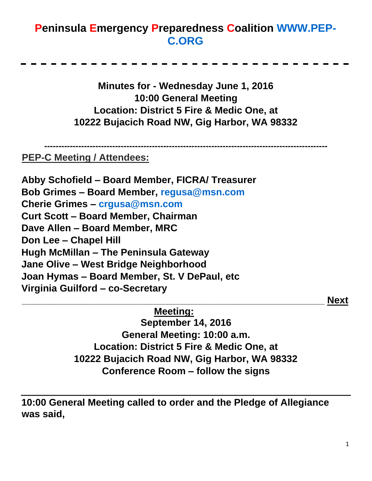## **Peninsula Emergency Preparedness Coalition [WWW.PEP-](http://www.pep-c.org/)[C.ORG](http://www.pep-c.org/)**

**Minutes for - Wednesday June 1, 2016 10:00 General Meeting Location: District 5 Fire & Medic One, at 10222 Bujacich Road NW, Gig Harbor, WA 98332** 

**----------------------------------------------------------------------------------------------------**

## **PEP-C Meeting / Attendees:**

**Abby Schofield – Board Member, FICRA/ Treasurer Bob Grimes – Board Member, regusa@msn.com Cherie Grimes – crgusa@msn.com Curt Scott – Board Member, Chairman Dave Allen – Board Member, MRC Don Lee – Chapel Hill Hugh McMillan – The Peninsula Gateway Jane Olive – West Bridge Neighborhood Joan Hymas – Board Member, St. V DePaul, etc Virginia Guilford – co-Secretary \_\_\_\_\_\_\_\_\_\_\_\_\_\_\_\_\_\_\_\_\_\_\_\_\_\_\_\_\_\_\_\_\_\_\_\_\_\_\_\_\_\_\_\_\_\_\_\_\_\_\_\_\_\_\_\_ Next** 

**Meeting:**

**September 14, 2016 General Meeting: 10:00 a.m. Location: District 5 Fire & Medic One, at 10222 Bujacich Road NW, Gig Harbor, WA 98332 Conference Room – follow the signs** 

**10:00 General Meeting called to order and the Pledge of Allegiance was said,**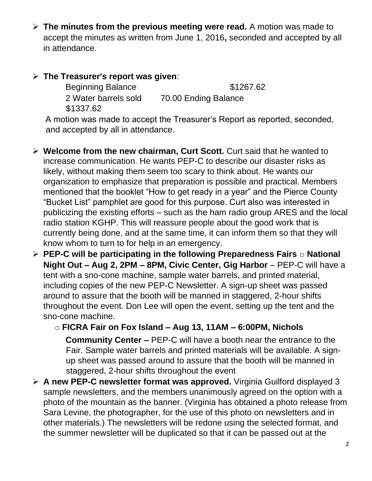➢ **The minutes from the previous meeting were read.** A motion was made to accept the minutes as written from June 1, 2016**,** seconded and accepted by all in attendance.

## ➢ **The Treasurer's report was given**:

Beginning Balance \$1267.62 2 Water barrels sold 70.00 Ending Balance \$1337.62

A motion was made to accept the Treasurer's Report as reported, seconded, and accepted by all in attendance.

- ➢ **Welcome from the new chairman, Curt Scott.** Curt said that he wanted to increase communication. He wants PEP-C to describe our disaster risks as likely, without making them seem too scary to think about. He wants our organization to emphasize that preparation is possible and practical. Members mentioned that the booklet "How to get ready in a year" and the Pierce County "Bucket List" pamphlet are good for this purpose. Curt also was interested in publicizing the existing efforts – such as the ham radio group ARES and the local radio station KGHP. This will reassure people about the good work that is currently being done, and at the same time, it can inform them so that they will know whom to turn to for help in an emergency.
- ➢ **PEP-C will be participating in the following Preparedness Fairs** o **National Night Out – Aug 2, 2PM – 8PM, Civic Center, Gig Harbor** – PEP-C will have a tent with a sno-cone machine, sample water barrels, and printed material, including copies of the new PEP-C Newsletter. A sign-up sheet was passed around to assure that the booth will be manned in staggered, 2-hour shifts throughout the event. Don Lee will open the event, setting up the tent and the sno-cone machine.
	- o **FICRA Fair on Fox Island – Aug 13, 11AM – 6:00PM, Nichols Community Center –** PEP-C will have a booth near the entrance to the Fair. Sample water barrels and printed materials will be available. A signup sheet was passed around to assure that the booth will be manned in staggered, 2-hour shifts throughout the event
- ➢ **A new PEP-C newsletter format was approved.** Virginia Guilford displayed 3 sample newsletters, and the members unanimously agreed on the option with a photo of the mountain as the banner. (Virginia has obtained a photo release from Sara Levine, the photographer, for the use of this photo on newsletters and in other materials.) The newsletters will be redone using the selected format, and the summer newsletter will be duplicated so that it can be passed out at the